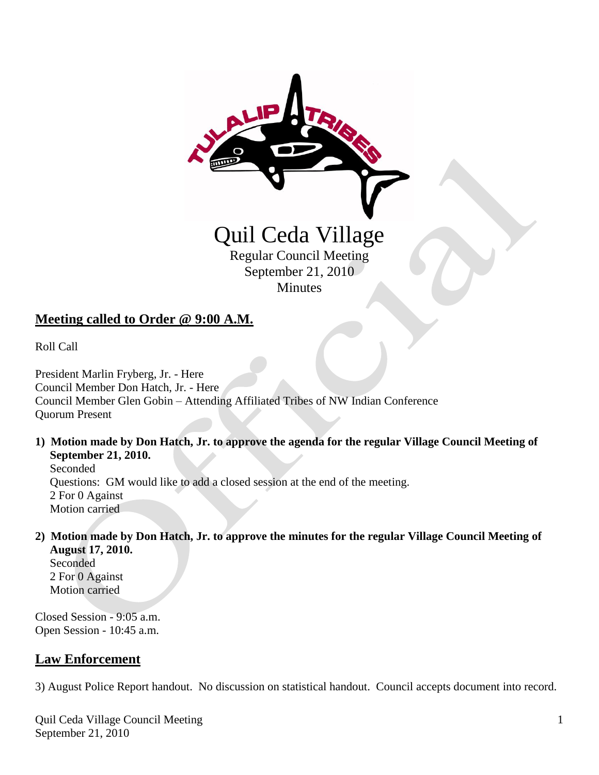

Minutes

## **Meeting called to Order @ 9:00 A.M.**

Roll Call

President Marlin Fryberg, Jr. - Here Council Member Don Hatch, Jr. - Here Council Member Glen Gobin – Attending Affiliated Tribes of NW Indian Conference Quorum Present

**1) Motion made by Don Hatch, Jr. to approve the agenda for the regular Village Council Meeting of September 21, 2010.**

 Seconded Questions: GM would like to add a closed session at the end of the meeting. 2 For 0 Against Motion carried

**2) Motion made by Don Hatch, Jr. to approve the minutes for the regular Village Council Meeting of August 17, 2010.**

 Seconded 2 For 0 Against Motion carried

Closed Session - 9:05 a.m. Open Session - 10:45 a.m.

## **Law Enforcement**

3) August Police Report handout. No discussion on statistical handout. Council accepts document into record.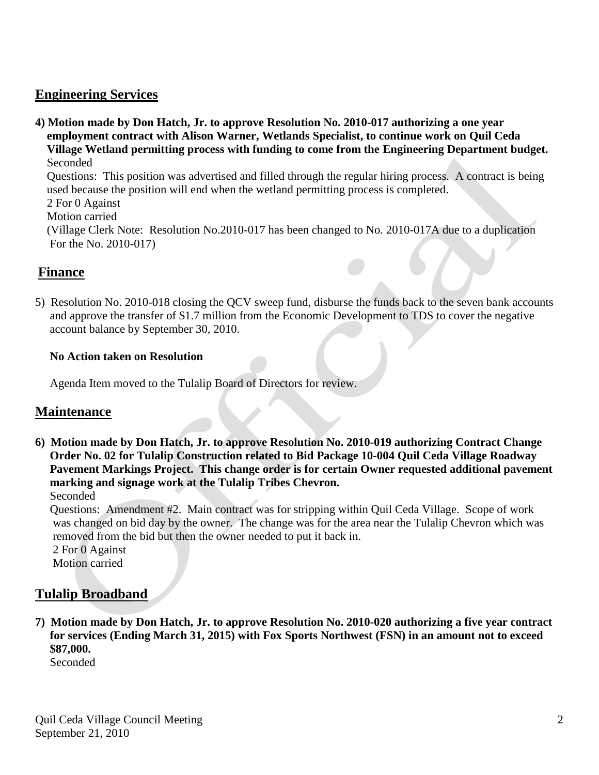## **Engineering Services**

**4) Motion made by Don Hatch, Jr. to approve Resolution No. 2010-017 authorizing a one year employment contract with Alison Warner, Wetlands Specialist, to continue work on Quil Ceda Village Wetland permitting process with funding to come from the Engineering Department budget.** Seconded

 Questions: This position was advertised and filled through the regular hiring process. A contract is being used because the position will end when the wetland permitting process is completed.

- 2 For 0 Against
- Motion carried

 (Village Clerk Note: Resolution No.2010-017 has been changed to No. 2010-017A due to a duplication For the No. 2010-017)

# **Finance**

5) Resolution No. 2010-018 closing the QCV sweep fund, disburse the funds back to the seven bank accounts and approve the transfer of \$1.7 million from the Economic Development to TDS to cover the negative account balance by September 30, 2010.

#### **No Action taken on Resolution**

Agenda Item moved to the Tulalip Board of Directors for review.

## **Maintenance**

**6) Motion made by Don Hatch, Jr. to approve Resolution No. 2010-019 authorizing Contract Change Order No. 02 for Tulalip Construction related to Bid Package 10-004 Quil Ceda Village Roadway Pavement Markings Project. This change order is for certain Owner requested additional pavement marking and signage work at the Tulalip Tribes Chevron.** Seconded

 Questions: Amendment #2. Main contract was for stripping within Quil Ceda Village. Scope of work was changed on bid day by the owner. The change was for the area near the Tulalip Chevron which was removed from the bid but then the owner needed to put it back in.

 2 For 0 Against Motion carried

# **Tulalip Broadband**

**7) Motion made by Don Hatch, Jr. to approve Resolution No. 2010-020 authorizing a five year contract for services (Ending March 31, 2015) with Fox Sports Northwest (FSN) in an amount not to exceed \$87,000.**

Seconded